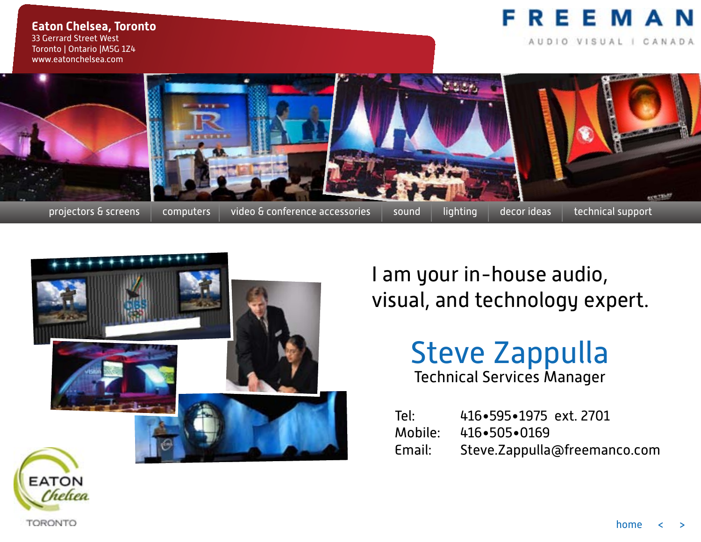#### EEMAN R Е

AUDIO VISUAL | CANADA

**Eaton Chelsea, Toronto** 33 Gerrard Street West Toronto | Ontario |M5G 1Z4 www.eatonchelsea.com





I am your in-house audio, visual, and technology expert.

### Steve Zappulla Technical Services Manager

Tel: 416•595•1975 ext. 2701 Mobile:  $416 \cdot 505 \cdot 0169$ Email: Steve.Zappulla@freemanco.com



Chelxea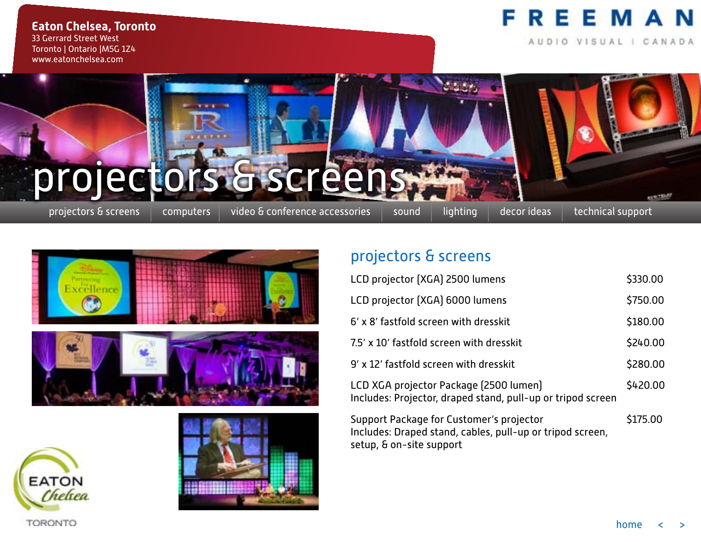AUDIO VISUAL | CANADA

**Eaton Chelsea, Toronto** 33 Gerrard Street West Toronto | Ontario |M5G 1Z4 www.eatonchelsea.com









#### projectors & screens

| LCD projector (XGA) 2500 lumens                                                                                                   | \$330.00 |
|-----------------------------------------------------------------------------------------------------------------------------------|----------|
| LCD projector (XGA) 6000 lumens                                                                                                   | \$750.00 |
| 6' x 8' fastfold screen with dresskit                                                                                             | \$180.00 |
| 7.5' x 10' fastfold screen with dresskit                                                                                          | \$240.00 |
| 9' x 12' fastfold screen with dresskit                                                                                            | \$280.00 |
| LCD XGA projector Package (2500 lumen)<br>Includes: Projector, draped stand, pull-up or tripod screen                             | \$420.00 |
| Support Package for Customer's projector<br>Includes: Draped stand, cables, pull-up or tripod screen,<br>setup, & on-site support | \$175.00 |

home <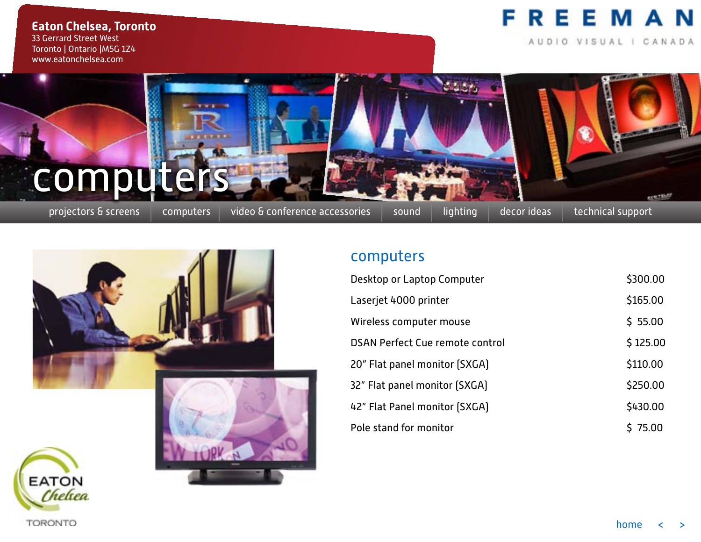AUDIO VISUAL | CANADA

**Eaton Chelsea, Toronto** 33 Gerrard Street West Toronto | Ontario |M5G 1Z4 www.eatonchelsea.com

# projectors & screens | computers | video & conference accessories | sound | lighting | decor ideas | technical support computers

**THEFT** 



#### computers

| Desktop or Laptop Computer             | \$300.00 |
|----------------------------------------|----------|
| Laserjet 4000 printer                  | \$165.00 |
| Wireless computer mouse                | \$5.00   |
| <b>DSAN Perfect Cue remote control</b> | \$125.00 |
| 20" Flat panel monitor (SXGA)          | \$110.00 |
| 32" Flat panel monitor [SXGA]          | \$250.00 |
| 42" Flat Panel monitor (SXGA)          | \$430.00 |
| Pole stand for monitor                 | \$75.00  |

execution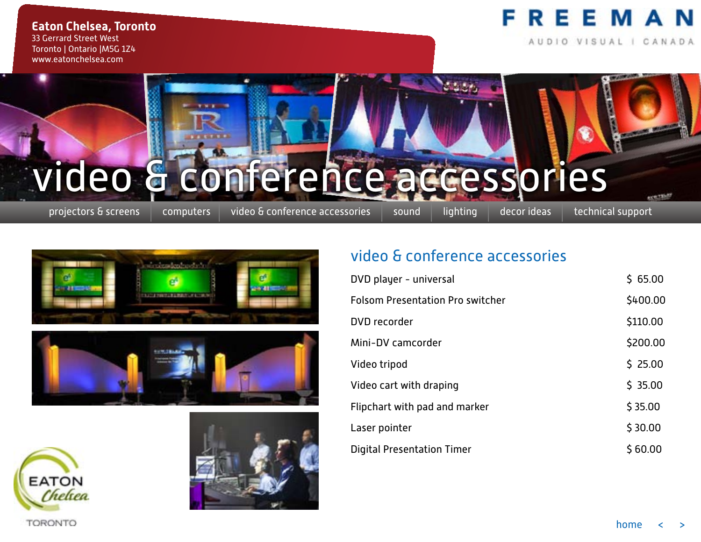#### **Eaton Chelsea, Toronto** 33 Gerrard Street West Toronto | Ontario |M5G 1Z4 www.eatonchelsea.com

#### **REEMAN** F

AUDIO VISUAL I CANADA

# video & conference accessories

**WINDOW** 

projectors & screens | computers | video & conference accessories | sound | lighting | decor ideas | technical support

are that









#### video & conference accessories

| DVD player - universal                  | \$65.00  |
|-----------------------------------------|----------|
| <b>Folsom Presentation Pro switcher</b> | \$400.00 |
| DVD recorder                            | \$110.00 |
| Mini-DV camcorder                       | \$200.00 |
| Video tripod                            | \$25.00  |
| Video cart with draping                 | \$35.00  |
| Flipchart with pad and marker           | \$35.00  |
| Laser pointer                           | \$30.00  |
| <b>Digital Presentation Timer</b>       | \$60.00  |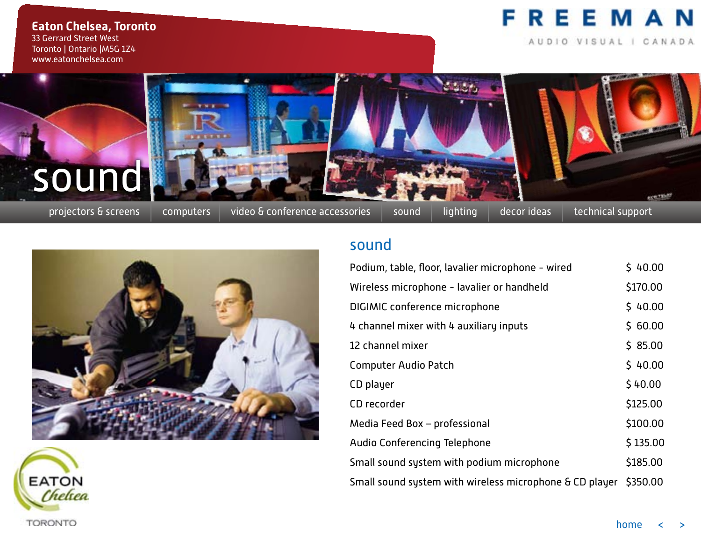AUDIO VISUAL | CANADA

**Eaton Chelsea, Toronto** 33 Gerrard Street West Toronto | Ontario |M5G 1Z4 www.eatonchelsea.com





projectors & screens | computers | video & conference accessories | sound | lighting | decor ideas | technical support

execution





#### sound

| Podium, table, floor, lavalier microphone - wired       | \$40.00  |
|---------------------------------------------------------|----------|
| Wireless microphone - lavalier or handheld              | \$170.00 |
| DIGIMIC conference microphone                           | \$40.00  |
| 4 channel mixer with 4 auxiliary inputs                 | \$60.00  |
| 12 channel mixer                                        | \$85.00  |
| <b>Computer Audio Patch</b>                             | \$40.00  |
| CD player                                               | \$40.00  |
| CD recorder                                             | \$125.00 |
| Media Feed Box - professional                           | \$100.00 |
| <b>Audio Conferencing Telephone</b>                     | \$135.00 |
| Small sound system with podium microphone               | \$185.00 |
| Small sound system with wireless microphone & CD player | \$350.00 |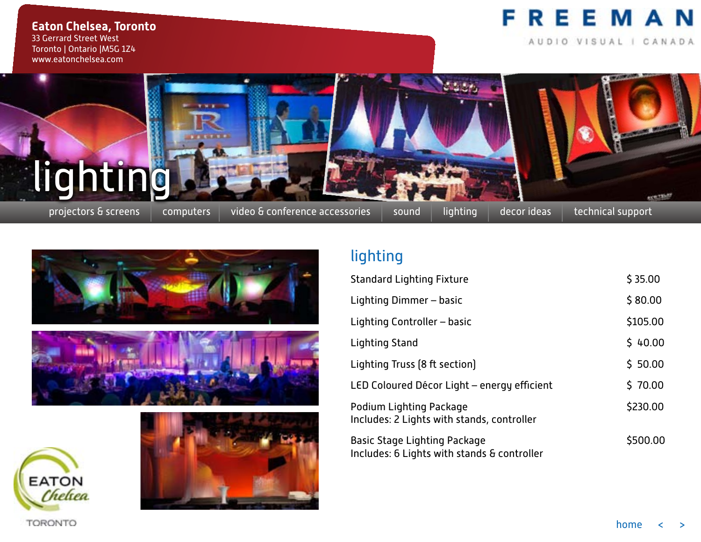AUDIO VISUAL | CANADA

**Eaton Chelsea, Toronto** 33 Gerrard Street West Toronto | Ontario |M5G 1Z4 www.eatonchelsea.com











#### lighting

| <b>Standard Lighting Fixture</b>                                            | \$35.00  |
|-----------------------------------------------------------------------------|----------|
| Lighting Dimmer - basic                                                     | \$80.00  |
| Lighting Controller - basic                                                 | \$105.00 |
| Lighting Stand                                                              | \$40.00  |
| Lighting Truss [8 ft section]                                               | \$50.00  |
| LED Coloured Décor Light - energy efficient                                 | \$70.00  |
| Podium Lighting Package<br>Includes: 2 Lights with stands, controller       | \$230.00 |
| Basic Stage Lighting Package<br>Includes: 6 Lights with stands & controller | \$500.00 |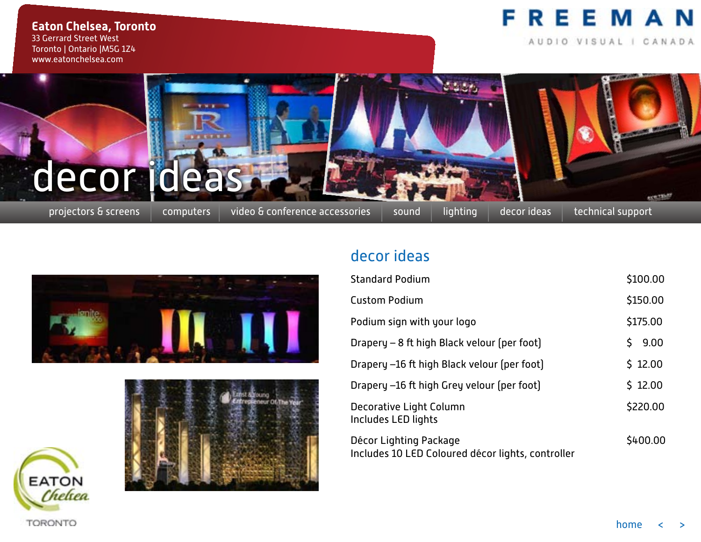AUDIO VISUAL | CANADA

**Eaton Chelsea, Toronto** 33 Gerrard Street West Toronto | Ontario |M5G 1Z4 www.eatonchelsea.com

# projectors & screens | computers | video & conference accessories | sound | lighting | decor ideas | technical support decor idea

**THE ROOM** 







#### decor ideas

| <b>Standard Podium</b>                                                      | \$100.00   |
|-----------------------------------------------------------------------------|------------|
| <b>Custom Podium</b>                                                        | \$150.00   |
| Podium sign with your logo                                                  | \$175.00   |
| Drapery - 8 ft high Black velour (per foot)                                 | Ś.<br>9.00 |
| Drapery -16 ft high Black velour (per foot)                                 | \$12.00    |
| Drapery -16 ft high Grey velour (per foot)                                  | \$12.00    |
| Decorative Light Column<br>Includes LED lights                              | \$220.00   |
| Décor Lighting Package<br>Includes 10 LED Coloured décor lights, controller | \$400.00   |

execution